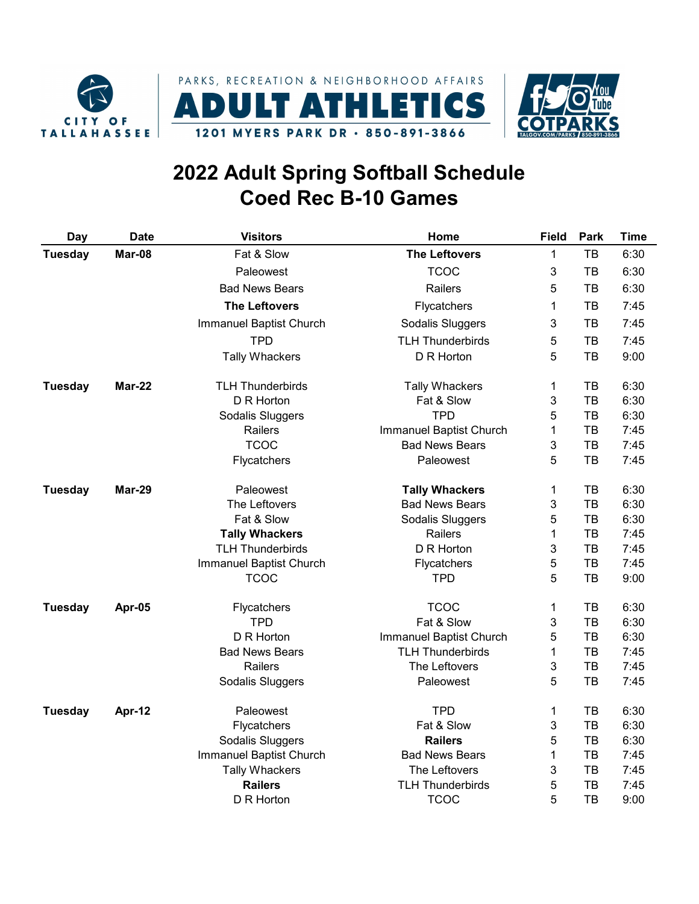





## 2022 Adult Spring Softball Schedule Coed Rec B-10 Games

| <b>Day</b>     | <b>Date</b> | <b>Visitors</b>         | Home                    | <b>Field</b> | Park | <b>Time</b> |
|----------------|-------------|-------------------------|-------------------------|--------------|------|-------------|
| Tuesday        | Mar-08      | Fat & Slow              | <b>The Leftovers</b>    | 1            | TB   | 6:30        |
|                |             | Paleowest               | <b>TCOC</b>             | 3            | TВ   | 6:30        |
|                |             | <b>Bad News Bears</b>   | Railers                 | 5            | TB   | 6:30        |
|                |             | <b>The Leftovers</b>    | Flycatchers             | 1            | TB   | 7:45        |
|                |             | Immanuel Baptist Church | Sodalis Sluggers        | 3            | TB   | 7:45        |
|                |             | <b>TPD</b>              | <b>TLH Thunderbirds</b> | 5            | TB   | 7:45        |
|                |             | <b>Tally Whackers</b>   | D R Horton              | 5            | TB   | 9:00        |
| <b>Tuesday</b> | Mar-22      | <b>TLH Thunderbirds</b> | <b>Tally Whackers</b>   | 1            | TB   | 6:30        |
|                |             | D R Horton              | Fat & Slow              | 3            | TB   | 6:30        |
|                |             | Sodalis Sluggers        | <b>TPD</b>              | 5            | TB   | 6:30        |
|                |             | Railers                 | Immanuel Baptist Church | 1            | TB   | 7:45        |
|                |             | <b>TCOC</b>             | <b>Bad News Bears</b>   | 3            | TB   | 7:45        |
|                |             | Flycatchers             | Paleowest               | 5            | тв   | 7:45        |
| <b>Tuesday</b> | Mar-29      | Paleowest               | <b>Tally Whackers</b>   | 1            | TB   | 6:30        |
|                |             | The Leftovers           | <b>Bad News Bears</b>   | 3            | TB   | 6:30        |
|                |             | Fat & Slow              | Sodalis Sluggers        | 5            | TB   | 6:30        |
|                |             | <b>Tally Whackers</b>   | Railers                 | 1            | TB   | 7:45        |
|                |             | <b>TLH Thunderbirds</b> | D R Horton              | 3            | TB   | 7:45        |
|                |             | Immanuel Baptist Church | Flycatchers             | 5            | TB   | 7:45        |
|                |             | <b>TCOC</b>             | <b>TPD</b>              | 5            | ТB   | 9:00        |
| <b>Tuesday</b> | Apr-05      | Flycatchers             | <b>TCOC</b>             | 1            | TB   | 6:30        |
|                |             | <b>TPD</b>              | Fat & Slow              | 3            | TB   | 6:30        |
|                |             | D R Horton              | Immanuel Baptist Church | 5            | TB   | 6:30        |
|                |             | <b>Bad News Bears</b>   | <b>TLH Thunderbirds</b> | 1            | TB   | 7:45        |
|                |             | Railers                 | The Leftovers           | 3            | TB   | 7:45        |
|                |             | Sodalis Sluggers        | Paleowest               | 5            | TB   | 7:45        |
| <b>Tuesday</b> | Apr-12      | Paleowest               | <b>TPD</b>              | 1            | TB   | 6:30        |
|                |             | Flycatchers             | Fat & Slow              | 3            | TB   | 6:30        |
|                |             | Sodalis Sluggers        | <b>Railers</b>          | 5            | TB   | 6:30        |
|                |             | Immanuel Baptist Church | <b>Bad News Bears</b>   | 1            | TB   | 7:45        |
|                |             | <b>Tally Whackers</b>   | The Leftovers           | 3            | TB   | 7:45        |
|                |             | <b>Railers</b>          | <b>TLH Thunderbirds</b> | 5            | TB   | 7:45        |
|                |             | D R Horton              | <b>TCOC</b>             | 5            | тв   | 9:00        |